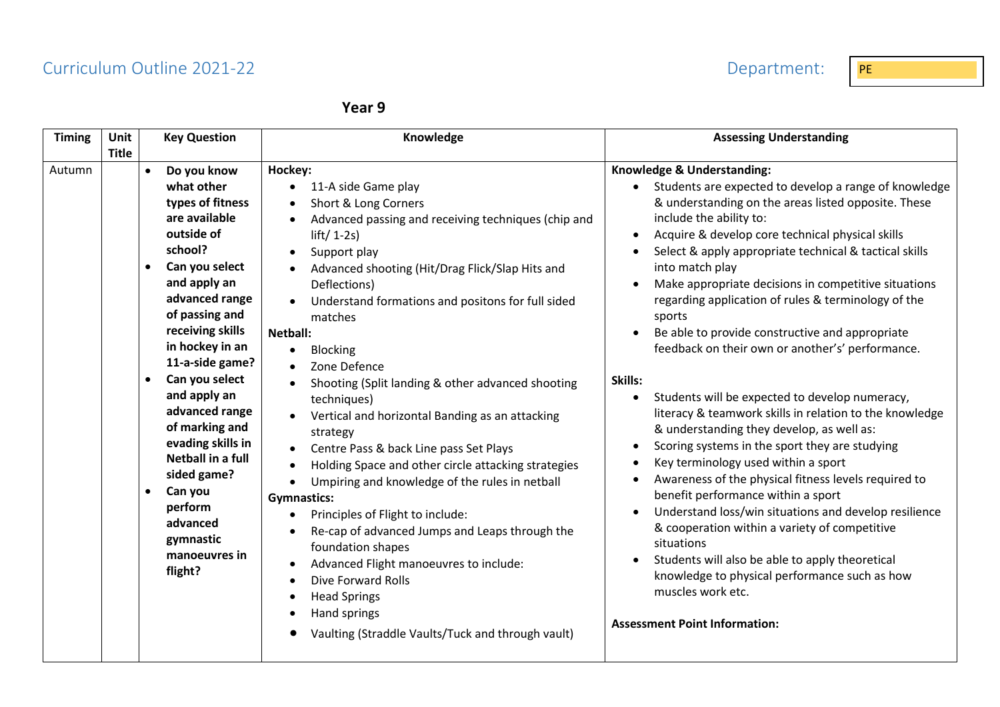## Curriculum Outline 2021-22 **PE PE 2021-22** Department: PE

| Year 9 |  |
|--------|--|
|--------|--|

| <b>Timing</b> | <b>Unit</b><br><b>Title</b> | <b>Key Question</b>                                                                                                                                                                                                                                                                                                                                                                                                                                                                   | Knowledge                                                                                                                                                                                                                                                                                                                                                                                                                                                                                                                                                                                                                                                                                                                                                                                                                                                                                                                                                                                                                                                                            | <b>Assessing Understanding</b>                                                                                                                                                                                                                                                                                                                                                                                                                                                                                                                                                                                                                                                                                                                                                                                                                                                                                                                                                                                                                                                                                                                                                                                                     |
|---------------|-----------------------------|---------------------------------------------------------------------------------------------------------------------------------------------------------------------------------------------------------------------------------------------------------------------------------------------------------------------------------------------------------------------------------------------------------------------------------------------------------------------------------------|--------------------------------------------------------------------------------------------------------------------------------------------------------------------------------------------------------------------------------------------------------------------------------------------------------------------------------------------------------------------------------------------------------------------------------------------------------------------------------------------------------------------------------------------------------------------------------------------------------------------------------------------------------------------------------------------------------------------------------------------------------------------------------------------------------------------------------------------------------------------------------------------------------------------------------------------------------------------------------------------------------------------------------------------------------------------------------------|------------------------------------------------------------------------------------------------------------------------------------------------------------------------------------------------------------------------------------------------------------------------------------------------------------------------------------------------------------------------------------------------------------------------------------------------------------------------------------------------------------------------------------------------------------------------------------------------------------------------------------------------------------------------------------------------------------------------------------------------------------------------------------------------------------------------------------------------------------------------------------------------------------------------------------------------------------------------------------------------------------------------------------------------------------------------------------------------------------------------------------------------------------------------------------------------------------------------------------|
| Autumn        |                             | Do you know<br>$\bullet$<br>what other<br>types of fitness<br>are available<br>outside of<br>school?<br>Can you select<br>$\bullet$<br>and apply an<br>advanced range<br>of passing and<br>receiving skills<br>in hockey in an<br>11-a-side game?<br>Can you select<br>$\bullet$<br>and apply an<br>advanced range<br>of marking and<br>evading skills in<br>Netball in a full<br>sided game?<br>Can you<br>$\bullet$<br>perform<br>advanced<br>gymnastic<br>manoeuvres in<br>flight? | Hockey:<br>11-A side Game play<br>$\bullet$<br>Short & Long Corners<br>$\bullet$<br>Advanced passing and receiving techniques (chip and<br>$lift/ 1-2s)$<br>Support play<br>٠<br>Advanced shooting (Hit/Drag Flick/Slap Hits and<br>Deflections)<br>Understand formations and positons for full sided<br>matches<br>Netball:<br><b>Blocking</b><br>$\bullet$<br>Zone Defence<br>Shooting (Split landing & other advanced shooting<br>techniques)<br>Vertical and horizontal Banding as an attacking<br>strategy<br>Centre Pass & back Line pass Set Plays<br>$\bullet$<br>Holding Space and other circle attacking strategies<br>$\bullet$<br>Umpiring and knowledge of the rules in netball<br>$\bullet$<br><b>Gymnastics:</b><br>Principles of Flight to include:<br>$\bullet$<br>Re-cap of advanced Jumps and Leaps through the<br>$\bullet$<br>foundation shapes<br>Advanced Flight manoeuvres to include:<br>$\bullet$<br>Dive Forward Rolls<br>$\bullet$<br><b>Head Springs</b><br>$\bullet$<br>Hand springs<br>$\bullet$<br>Vaulting (Straddle Vaults/Tuck and through vault) | Knowledge & Understanding:<br>Students are expected to develop a range of knowledge<br>& understanding on the areas listed opposite. These<br>include the ability to:<br>Acquire & develop core technical physical skills<br>$\bullet$<br>Select & apply appropriate technical & tactical skills<br>into match play<br>Make appropriate decisions in competitive situations<br>regarding application of rules & terminology of the<br>sports<br>Be able to provide constructive and appropriate<br>$\bullet$<br>feedback on their own or another's' performance.<br>Skills:<br>Students will be expected to develop numeracy,<br>$\bullet$<br>literacy & teamwork skills in relation to the knowledge<br>& understanding they develop, as well as:<br>Scoring systems in the sport they are studying<br>Key terminology used within a sport<br>Awareness of the physical fitness levels required to<br>benefit performance within a sport<br>Understand loss/win situations and develop resilience<br>& cooperation within a variety of competitive<br>situations<br>Students will also be able to apply theoretical<br>knowledge to physical performance such as how<br>muscles work etc.<br><b>Assessment Point Information:</b> |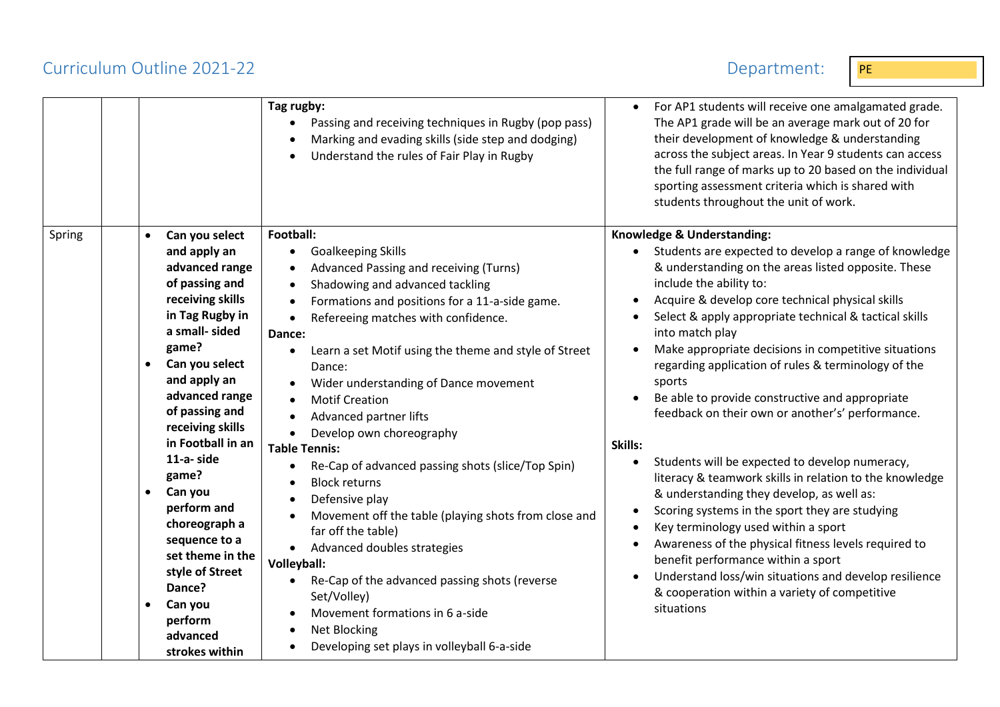## Curriculum Outline 2021-22 Department: PE

|                                                            |                                                                                                                                                                                                                                                                                                                                                                                                                                            | Tag rugby:<br>Passing and receiving techniques in Rugby (pop pass)<br>$\bullet$<br>Marking and evading skills (side step and dodging)<br>Understand the rules of Fair Play in Rugby                                                                                                                                                                                                                                                                                                                                                                                                                                                                                                                                                                                                                                                                                                                                                                                                                                          | For AP1 students will receive one amalgamated grade.<br>The AP1 grade will be an average mark out of 20 for<br>their development of knowledge & understanding<br>across the subject areas. In Year 9 students can access<br>the full range of marks up to 20 based on the individual<br>sporting assessment criteria which is shared with<br>students throughout the unit of work.                                                                                                                                                                                                                                                                                                                                                                                                                                                                                                                                                                                                                                                                                                            |
|------------------------------------------------------------|--------------------------------------------------------------------------------------------------------------------------------------------------------------------------------------------------------------------------------------------------------------------------------------------------------------------------------------------------------------------------------------------------------------------------------------------|------------------------------------------------------------------------------------------------------------------------------------------------------------------------------------------------------------------------------------------------------------------------------------------------------------------------------------------------------------------------------------------------------------------------------------------------------------------------------------------------------------------------------------------------------------------------------------------------------------------------------------------------------------------------------------------------------------------------------------------------------------------------------------------------------------------------------------------------------------------------------------------------------------------------------------------------------------------------------------------------------------------------------|-----------------------------------------------------------------------------------------------------------------------------------------------------------------------------------------------------------------------------------------------------------------------------------------------------------------------------------------------------------------------------------------------------------------------------------------------------------------------------------------------------------------------------------------------------------------------------------------------------------------------------------------------------------------------------------------------------------------------------------------------------------------------------------------------------------------------------------------------------------------------------------------------------------------------------------------------------------------------------------------------------------------------------------------------------------------------------------------------|
| Spring<br>$\bullet$<br>$\bullet$<br>$\bullet$<br>$\bullet$ | Can you select<br>and apply an<br>advanced range<br>of passing and<br>receiving skills<br>in Tag Rugby in<br>a small- sided<br>game?<br>Can you select<br>and apply an<br>advanced range<br>of passing and<br>receiving skills<br>in Football in an<br>11-a-side<br>game?<br>Can you<br>perform and<br>choreograph a<br>sequence to a<br>set theme in the<br>style of Street<br>Dance?<br>Can you<br>perform<br>advanced<br>strokes within | Football:<br><b>Goalkeeping Skills</b><br>Advanced Passing and receiving (Turns)<br>$\bullet$<br>Shadowing and advanced tackling<br>$\bullet$<br>Formations and positions for a 11-a-side game.<br>$\bullet$<br>Refereeing matches with confidence.<br>$\bullet$<br>Dance:<br>Learn a set Motif using the theme and style of Street<br>$\bullet$<br>Dance:<br>Wider understanding of Dance movement<br>$\bullet$<br><b>Motif Creation</b><br>$\bullet$<br>Advanced partner lifts<br>$\bullet$<br>Develop own choreography<br><b>Table Tennis:</b><br>Re-Cap of advanced passing shots (slice/Top Spin)<br><b>Block returns</b><br>$\bullet$<br>Defensive play<br>$\bullet$<br>Movement off the table (playing shots from close and<br>$\bullet$<br>far off the table)<br>Advanced doubles strategies<br>$\bullet$<br>Volleyball:<br>Re-Cap of the advanced passing shots (reverse<br>$\bullet$<br>Set/Volley)<br>Movement formations in 6 a-side<br>Net Blocking<br>$\bullet$<br>Developing set plays in volleyball 6-a-side | Knowledge & Understanding:<br>• Students are expected to develop a range of knowledge<br>& understanding on the areas listed opposite. These<br>include the ability to:<br>Acquire & develop core technical physical skills<br>$\bullet$<br>Select & apply appropriate technical & tactical skills<br>into match play<br>Make appropriate decisions in competitive situations<br>regarding application of rules & terminology of the<br>sports<br>Be able to provide constructive and appropriate<br>$\bullet$<br>feedback on their own or another's' performance.<br>Skills:<br>Students will be expected to develop numeracy,<br>$\bullet$<br>literacy & teamwork skills in relation to the knowledge<br>& understanding they develop, as well as:<br>Scoring systems in the sport they are studying<br>Key terminology used within a sport<br>$\bullet$<br>Awareness of the physical fitness levels required to<br>$\bullet$<br>benefit performance within a sport<br>Understand loss/win situations and develop resilience<br>& cooperation within a variety of competitive<br>situations |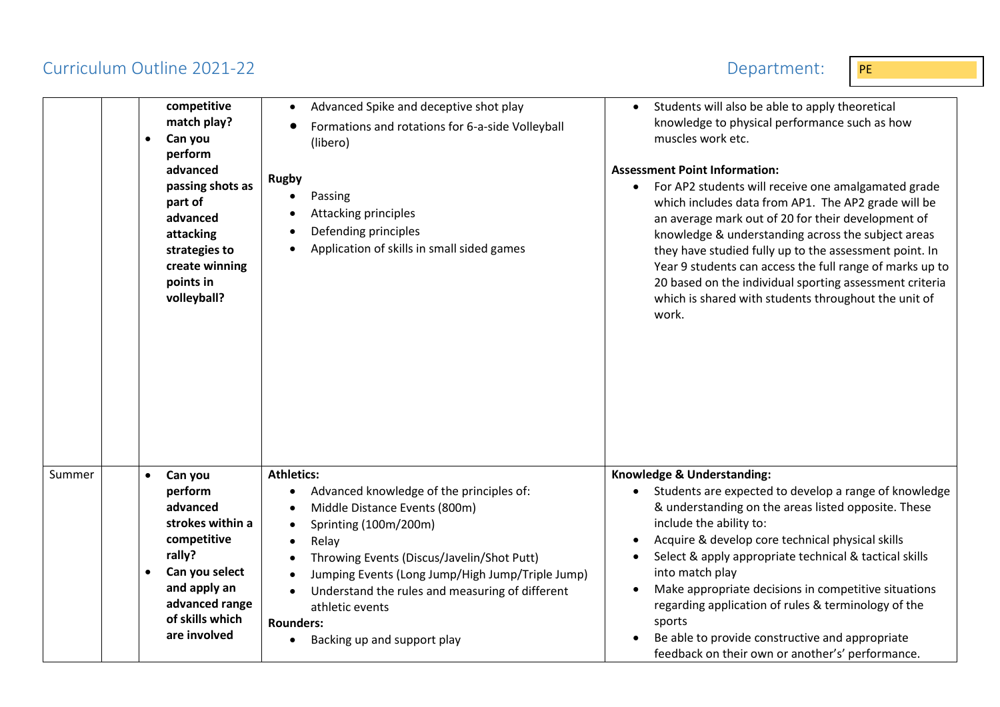## Curriculum Outline 2021-22 Department: PE



|        |           | competitive<br>match play?<br>Can you<br>perform<br>advanced<br>passing shots as<br>part of<br>advanced<br>attacking<br>strategies to<br>create winning<br>points in<br>volleyball? | Advanced Spike and deceptive shot play<br>Formations and rotations for 6-a-side Volleyball<br>(libero)<br><b>Rugby</b><br>Passing<br>Attacking principles<br>Defending principles<br>Application of skills in small sided games | Students will also be able to apply theoretical<br>knowledge to physical performance such as how<br>muscles work etc.<br><b>Assessment Point Information:</b><br>For AP2 students will receive one amalgamated grade<br>$\bullet$<br>which includes data from AP1. The AP2 grade will be<br>an average mark out of 20 for their development of<br>knowledge & understanding across the subject areas<br>they have studied fully up to the assessment point. In<br>Year 9 students can access the full range of marks up to<br>20 based on the individual sporting assessment criteria<br>which is shared with students throughout the unit of<br>work. |
|--------|-----------|-------------------------------------------------------------------------------------------------------------------------------------------------------------------------------------|---------------------------------------------------------------------------------------------------------------------------------------------------------------------------------------------------------------------------------|--------------------------------------------------------------------------------------------------------------------------------------------------------------------------------------------------------------------------------------------------------------------------------------------------------------------------------------------------------------------------------------------------------------------------------------------------------------------------------------------------------------------------------------------------------------------------------------------------------------------------------------------------------|
| Summer | $\bullet$ | Can you<br>perform                                                                                                                                                                  | <b>Athletics:</b><br>Advanced knowledge of the principles of:                                                                                                                                                                   | Knowledge & Understanding:<br>Students are expected to develop a range of knowledge                                                                                                                                                                                                                                                                                                                                                                                                                                                                                                                                                                    |
|        |           | advanced                                                                                                                                                                            | Middle Distance Events (800m)                                                                                                                                                                                                   | & understanding on the areas listed opposite. These                                                                                                                                                                                                                                                                                                                                                                                                                                                                                                                                                                                                    |
|        |           | strokes within a                                                                                                                                                                    | Sprinting (100m/200m)                                                                                                                                                                                                           | include the ability to:                                                                                                                                                                                                                                                                                                                                                                                                                                                                                                                                                                                                                                |
|        |           | competitive                                                                                                                                                                         | Relay                                                                                                                                                                                                                           | Acquire & develop core technical physical skills                                                                                                                                                                                                                                                                                                                                                                                                                                                                                                                                                                                                       |
|        |           | rally?                                                                                                                                                                              | Throwing Events (Discus/Javelin/Shot Putt)                                                                                                                                                                                      | Select & apply appropriate technical & tactical skills                                                                                                                                                                                                                                                                                                                                                                                                                                                                                                                                                                                                 |
|        |           | Can you select<br>and apply an                                                                                                                                                      | Jumping Events (Long Jump/High Jump/Triple Jump)                                                                                                                                                                                | into match play                                                                                                                                                                                                                                                                                                                                                                                                                                                                                                                                                                                                                                        |
|        |           | advanced range                                                                                                                                                                      | Understand the rules and measuring of different<br>athletic events                                                                                                                                                              | Make appropriate decisions in competitive situations<br>regarding application of rules & terminology of the                                                                                                                                                                                                                                                                                                                                                                                                                                                                                                                                            |
|        |           | of skills which                                                                                                                                                                     | <b>Rounders:</b>                                                                                                                                                                                                                | sports                                                                                                                                                                                                                                                                                                                                                                                                                                                                                                                                                                                                                                                 |
|        |           | are involved                                                                                                                                                                        | Backing up and support play                                                                                                                                                                                                     | Be able to provide constructive and appropriate<br>feedback on their own or another's' performance.                                                                                                                                                                                                                                                                                                                                                                                                                                                                                                                                                    |